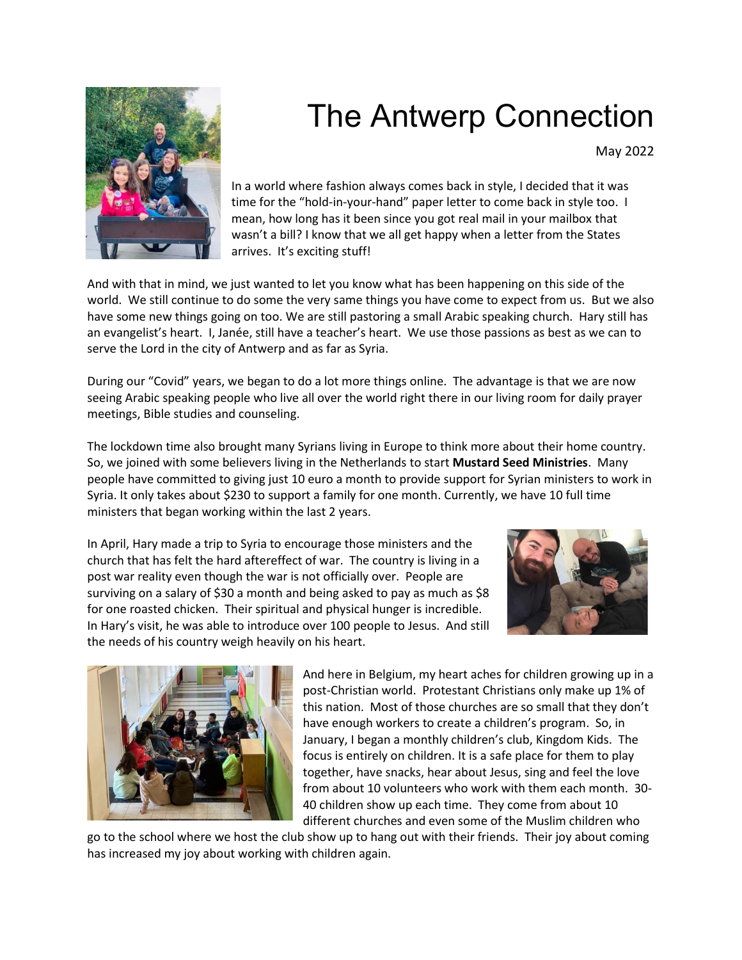

## The Antwerp Connection

May 2022

In a world where fashion always comes back in style, I decided that it was time for the "hold-in-your-hand" paper letter to come back in style too. I mean, how long has it been since you got real mail in your mailbox that wasn't a bill? I know that we all get happy when a letter from the States arrives. It's exciting stuff!

And with that in mind, we just wanted to let you know what has been happening on this side of the world. We still continue to do some the very same things you have come to expect from us. But we also have some new things going on too. We are still pastoring a small Arabic speaking church. Hary still has an evangelist's heart. I, Janée, still have a teacher's heart. We use those passions as best as we can to serve the Lord in the city of Antwerp and as far as Syria.

During our "Covid" years, we began to do a lot more things online. The advantage is that we are now seeing Arabic speaking people who live all over the world right there in our living room for daily prayer meetings, Bible studies and counseling.

The lockdown time also brought many Syrians living in Europe to think more about their home country. So, we joined with some believers living in the Netherlands to start **Mustard Seed Ministries**. Many people have committed to giving just 10 euro a month to provide support for Syrian ministers to work in Syria. It only takes about \$230 to support a family for one month. Currently, we have 10 full time ministers that began working within the last 2 years.

In April, Hary made a trip to Syria to encourage those ministers and the church that has felt the hard aftereffect of war. The country is living in a post war reality even though the war is not officially over. People are surviving on a salary of \$30 a month and being asked to pay as much as \$8 for one roasted chicken. Their spiritual and physical hunger is incredible. In Hary's visit, he was able to introduce over 100 people to Jesus. And still the needs of his country weigh heavily on his heart.





And here in Belgium, my heart aches for children growing up in a post-Christian world. Protestant Christians only make up 1% of this nation. Most of those churches are so small that they don't have enough workers to create a children's program. So, in January, I began a monthly children's club, Kingdom Kids. The focus is entirely on children. It is a safe place for them to play together, have snacks, hear about Jesus, sing and feel the love from about 10 volunteers who work with them each month. 30- 40 children show up each time. They come from about 10 different churches and even some of the Muslim children who

go to the school where we host the club show up to hang out with their friends. Their joy about coming has increased my joy about working with children again.